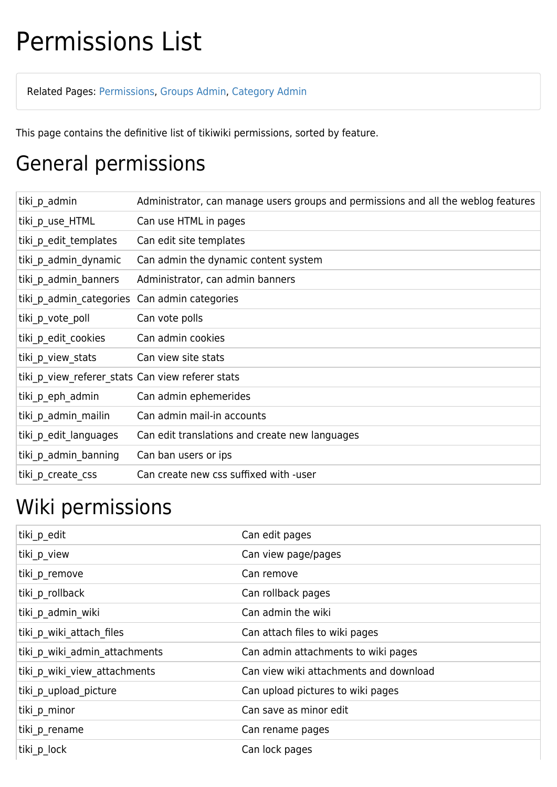## Permissions List

Related Pages: [Permissions](https://doc.tiki.org/Permissions), [Groups Admin,](https://doc.tiki.org/Groups-admin) [Category Admin](https://doc.tiki.org/Category-Admin)

This page contains the definitive list of tikiwiki permissions, sorted by feature.

#### General permissions

| tiki p admin                                     | Administrator, can manage users groups and permissions and all the weblog features |
|--------------------------------------------------|------------------------------------------------------------------------------------|
| tiki p use HTML                                  | Can use HTML in pages                                                              |
| tiki p edit templates                            | Can edit site templates                                                            |
| tiki p admin dynamic                             | Can admin the dynamic content system                                               |
| tiki p admin banners                             | Administrator, can admin banners                                                   |
| tiki p admin categories Can admin categories     |                                                                                    |
| tiki p vote poll                                 | Can vote polls                                                                     |
| tiki p edit cookies                              | Can admin cookies                                                                  |
| tiki p view stats                                | Can view site stats                                                                |
| tiki_p_view_referer_stats Can view referer stats |                                                                                    |
| tiki p eph admin                                 | Can admin ephemerides                                                              |
| tiki p admin mailin                              | Can admin mail-in accounts                                                         |
| tiki p edit languages                            | Can edit translations and create new languages                                     |
| tiki p admin banning                             | Can ban users or ips                                                               |
| tiki_p_create_css                                | Can create new css suffixed with -user                                             |

#### Wiki permissions

| tiki_p_edit                   | Can edit pages                         |
|-------------------------------|----------------------------------------|
| tiki_p_view                   | Can view page/pages                    |
| tiki p remove                 | Can remove                             |
| tiki p_rollback               | Can rollback pages                     |
| tiki p_admin_wiki             | Can admin the wiki                     |
| tiki p wiki attach files      | Can attach files to wiki pages         |
| tiki p wiki admin attachments | Can admin attachments to wiki pages    |
| tiki p_wiki_view_attachments  | Can view wiki attachments and download |
| tiki_p_upload_picture         | Can upload pictures to wiki pages      |
| tiki p_minor                  | Can save as minor edit                 |
| tiki_p_rename                 | Can rename pages                       |
| tiki_p_lock                   | Can lock pages                         |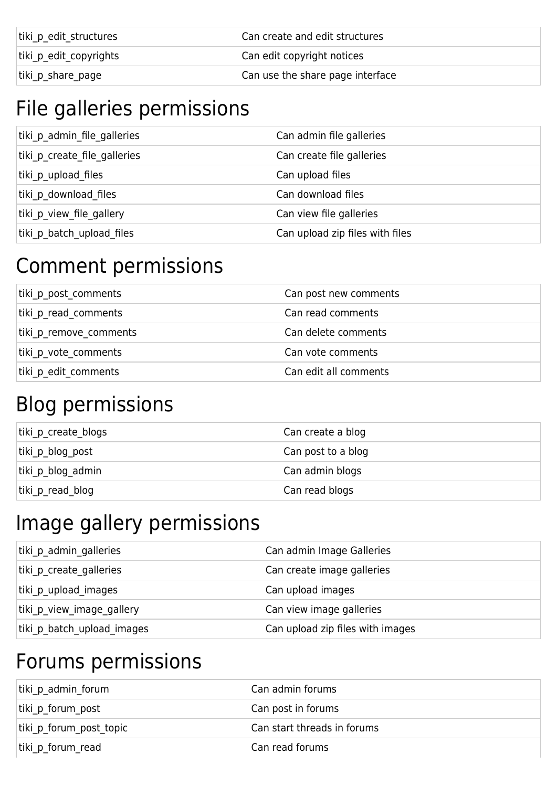| tiki p edit structures | Can create and edit structures   |
|------------------------|----------------------------------|
| tiki p edit copyrights | Can edit copyright notices       |
| tiki p share page      | Can use the share page interface |

#### File galleries permissions

| tiki p admin file galleries  | Can admin file galleries        |
|------------------------------|---------------------------------|
| tiki p create file galleries | Can create file galleries       |
| tiki p upload files          | Can upload files                |
| tiki p download files        | Can download files              |
| tiki p view file gallery     | Can view file galleries         |
| tiki p batch upload files    | Can upload zip files with files |

#### Comment permissions

| tiki p post comments   | Can post new comments |
|------------------------|-----------------------|
| tiki p read comments   | Can read comments     |
| tiki p remove comments | Can delete comments   |
| tiki p vote comments   | Can vote comments     |
| tiki p edit comments   | Can edit all comments |

#### Blog permissions

| tiki p create blogs | Can create a blog  |
|---------------------|--------------------|
| tiki p blog post    | Can post to a blog |
| tiki p blog admin   | Can admin blogs    |
| tiki p read blog    | Can read blogs     |

#### Image gallery permissions

| tiki p admin galleries     | Can admin Image Galleries        |
|----------------------------|----------------------------------|
| tiki p create galleries    | Can create image galleries       |
| tiki p upload images       | Can upload images                |
| tiki p view image gallery  | Can view image galleries         |
| tiki p batch upload images | Can upload zip files with images |

#### Forums permissions

| tiki p admin forum      | Can admin forums            |
|-------------------------|-----------------------------|
| tiki p forum post       | Can post in forums          |
| tiki p forum post topic | Can start threads in forums |
| tiki p forum read       | Can read forums             |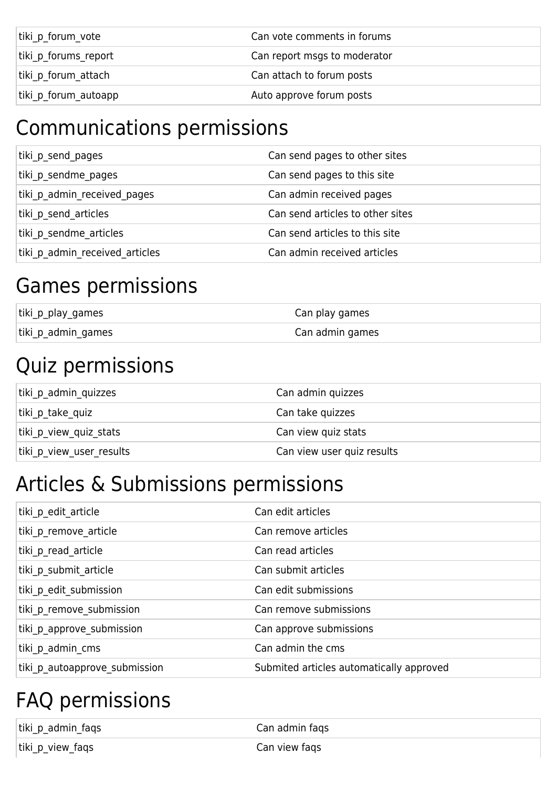| tiki p forum vote    | Can vote comments in forums  |
|----------------------|------------------------------|
| tiki p forums report | Can report msgs to moderator |
| tiki p forum attach  | Can attach to forum posts    |
| tiki p forum autoapp | Auto approve forum posts     |

## Communications permissions

| tiki p send pages              | Can send pages to other sites    |
|--------------------------------|----------------------------------|
| tiki p sendme pages            | Can send pages to this site      |
| tiki p admin received pages    | Can admin received pages         |
| tiki p send articles           | Can send articles to other sites |
| tiki p sendme articles         | Can send articles to this site   |
| tiki p admin received articles | Can admin received articles      |

#### Games permissions

| tiki_p_play_games  | Can play games  |
|--------------------|-----------------|
| tiki_p_admin_games | Can admin games |

#### Quiz permissions

| tiki p admin quizzes     | Can admin quizzes          |
|--------------------------|----------------------------|
| tiki p take quiz         | Can take quizzes           |
| tiki p view quiz stats   | Can view quiz stats        |
| tiki p view user results | Can view user quiz results |

#### Articles & Submissions permissions

| tiki p edit article           | Can edit articles                        |
|-------------------------------|------------------------------------------|
| tiki p remove article         | Can remove articles                      |
| tiki p read article           | Can read articles                        |
| tiki p submit article         | Can submit articles                      |
| tiki p edit submission        | Can edit submissions                     |
| tiki p remove submission      | Can remove submissions                   |
| tiki p approve submission     | Can approve submissions                  |
| tiki p admin cms              | Can admin the cms                        |
| tiki p autoapprove submission | Submited articles automatically approved |
|                               |                                          |

## FAQ permissions

| tiki_p_admin_faqs | Can admin faqs |
|-------------------|----------------|
| tiki_p_view_faqs  | Can view fags  |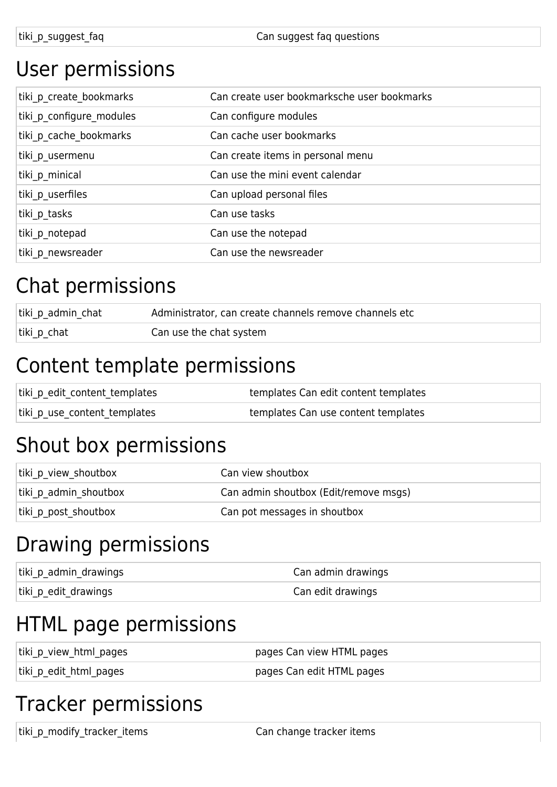#### User permissions

| tiki p create bookmarks  | Can create user bookmarksche user bookmarks |
|--------------------------|---------------------------------------------|
| tiki p configure modules | Can configure modules                       |
| tiki p cache bookmarks   | Can cache user bookmarks                    |
| tiki p_usermenu          | Can create items in personal menu           |
| tiki p minical           | Can use the mini event calendar             |
| tiki p userfiles         | Can upload personal files                   |
| tiki p tasks             | Can use tasks                               |
| tiki_p_notepad           | Can use the notepad                         |
| tiki p newsreader        | Can use the newsreader                      |
|                          |                                             |

#### Chat permissions

| tiki_p_admin_chat | Administrator, can create channels remove channels etc |
|-------------------|--------------------------------------------------------|
| tiki_p_chat       | Can use the chat system                                |

#### Content template permissions

| tiki_p_edit_content_templates | templates Can edit content templates |
|-------------------------------|--------------------------------------|
| tiki_p_use_content_templates  | templates Can use content templates  |

#### Shout box permissions

| tiki_p_view_shoutbox  | Can view shoutbox                     |
|-----------------------|---------------------------------------|
| tiki p admin shoutbox | Can admin shoutbox (Edit/remove msgs) |
| tiki p post shoutbox  | Can pot messages in shoutbox          |

#### Drawing permissions

| tiki_p_admin_drawings | Can admin drawings |
|-----------------------|--------------------|
| tiki_p_edit_drawings  | Can edit drawings  |

#### HTML page permissions

| tiki_p_view_html_pages | pages Can view HTML pages |
|------------------------|---------------------------|
| tiki_p_edit_html_pages | pages Can edit HTML pages |

#### Tracker permissions

tiki\_p\_modify\_tracker\_items example that can change tracker items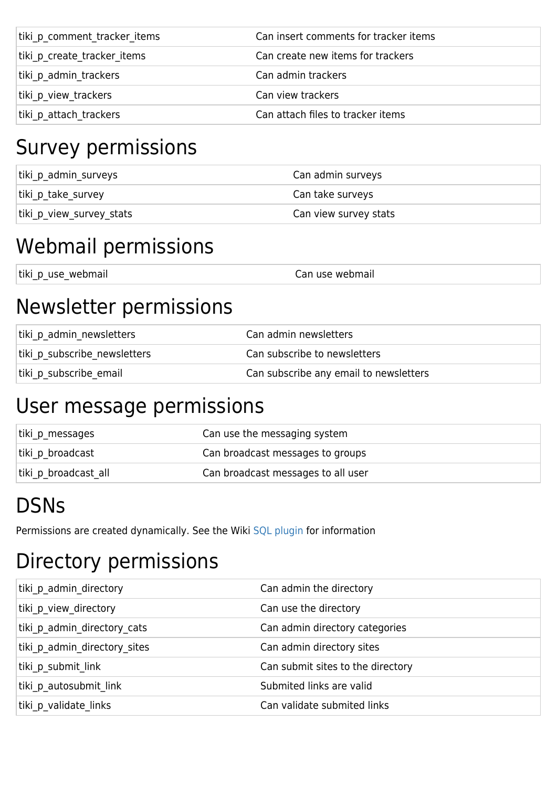| tiki p comment tracker items | Can insert comments for tracker items |
|------------------------------|---------------------------------------|
| tiki p create tracker items  | Can create new items for trackers     |
| tiki p admin trackers        | Can admin trackers                    |
| tiki p view trackers         | Can view trackers                     |
| tiki p attach trackers       | Can attach files to tracker items     |

#### Survey permissions

| tiki_p_admin_surveys     | Can admin surveys     |
|--------------------------|-----------------------|
| tiki p take survey       | Can take surveys      |
| tiki p view survey stats | Can view survey stats |

#### Webmail permissions

| tiki p use webmail | Can use webmail |
|--------------------|-----------------|
|                    |                 |
|                    |                 |

#### Newsletter permissions

| tiki p admin newsletters     | Can admin newsletters                  |
|------------------------------|----------------------------------------|
| tiki p subscribe newsletters | Can subscribe to newsletters           |
| tiki p subscribe email       | Can subscribe any email to newsletters |

#### User message permissions

| tiki p messages      | Can use the messaging system       |
|----------------------|------------------------------------|
| tiki p broadcast     | Can broadcast messages to groups   |
| tiki p broadcast all | Can broadcast messages to all user |

## **DSNs**

Permissions are created dynamically. See the Wiki [SQL plugin](https://doc.tiki.org/PluginSQL) for information

## Directory permissions

| tiki p admin directory       | Can admin the directory           |
|------------------------------|-----------------------------------|
| tiki p view directory        | Can use the directory             |
| tiki p admin directory cats  | Can admin directory categories    |
| tiki p admin directory sites | Can admin directory sites         |
| tiki p submit link           | Can submit sites to the directory |
| tiki p autosubmit link       | Submited links are valid          |
| tiki p validate links        | Can validate submited links       |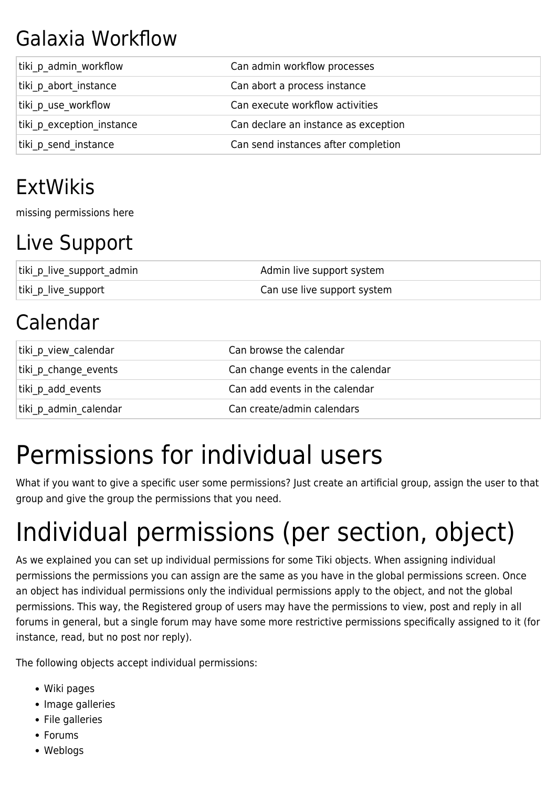## Galaxia Workflow

| tiki p admin workflow     | Can admin workflow processes         |
|---------------------------|--------------------------------------|
| tiki p abort instance     | Can abort a process instance         |
| tiki p use workflow       | Can execute workflow activities      |
| tiki p exception instance | Can declare an instance as exception |
| tiki p send instance      | Can send instances after completion  |

### ExtWikis

missing permissions here

#### Live Support

| tiki_p_live_support_admin | Admin live support system   |
|---------------------------|-----------------------------|
| tiki_p_live_support       | Can use live support system |

## Calendar

| tiki p view calendar  | Can browse the calendar           |
|-----------------------|-----------------------------------|
| tiki p change events  | Can change events in the calendar |
| tiki p add events     | Can add events in the calendar    |
| tiki p admin calendar | Can create/admin calendars        |

## Permissions for individual users

What if you want to give a specific user some permissions? Just create an artificial group, assign the user to that group and give the group the permissions that you need.

# Individual permissions (per section, object)

As we explained you can set up individual permissions for some Tiki objects. When assigning individual permissions the permissions you can assign are the same as you have in the global permissions screen. Once an object has individual permissions only the individual permissions apply to the object, and not the global permissions. This way, the Registered group of users may have the permissions to view, post and reply in all forums in general, but a single forum may have some more restrictive permissions specifically assigned to it (for instance, read, but no post nor reply).

The following objects accept individual permissions:

- Wiki pages
- Image galleries
- File galleries
- Forums
- Weblogs